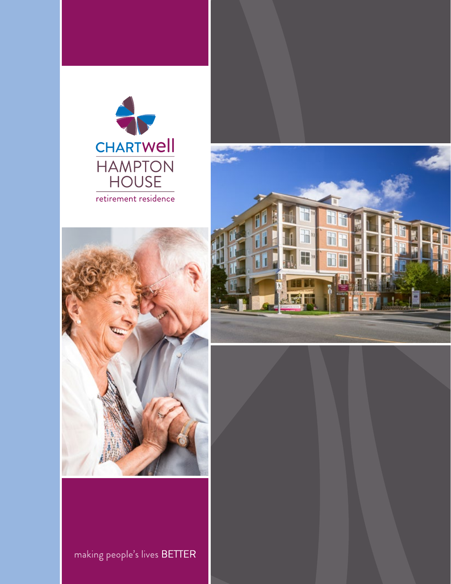





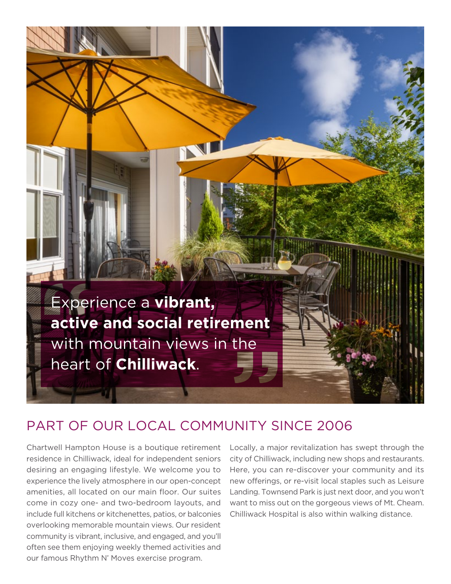

## PART OF OUR LOCAL COMMUNITY SINCE 2006

Chartwell Hampton House is a boutique retirement residence in Chilliwack, ideal for independent seniors desiring an engaging lifestyle. We welcome you to experience the lively atmosphere in our open-concept amenities, all located on our main floor. Our suites come in cozy one- and two-bedroom layouts, and include full kitchens or kitchenettes, patios, or balconies overlooking memorable mountain views. Our resident community is vibrant, inclusive, and engaged, and you'll often see them enjoying weekly themed activities and our famous Rhythm N' Moves exercise program.

Locally, a major revitalization has swept through the city of Chilliwack, including new shops and restaurants. Here, you can re-discover your community and its new offerings, or re-visit local staples such as Leisure Landing. Townsend Park is just next door, and you won't want to miss out on the gorgeous views of Mt. Cheam. Chilliwack Hospital is also within walking distance.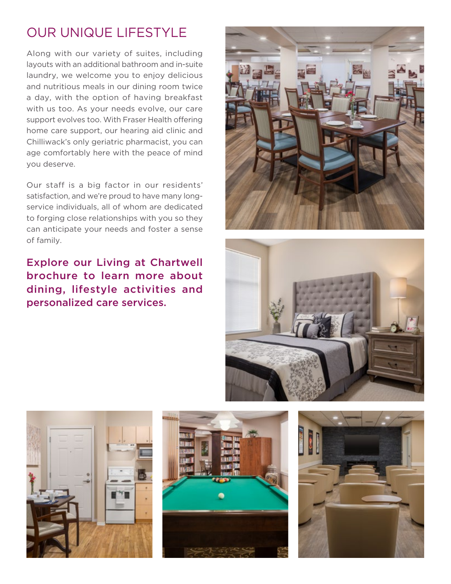## OUR UNIQUE LIFESTYLE

Along with our variety of suites, including layouts with an additional bathroom and in-suite laundry, we welcome you to enjoy delicious and nutritious meals in our dining room twice a day, with the option of having breakfast with us too. As your needs evolve, our care support evolves too. With Fraser Health offering home care support, our hearing aid clinic and Chilliwack's only geriatric pharmacist, you can age comfortably here with the peace of mind you deserve.

Our staff is a big factor in our residents' satisfaction, and we're proud to have many longservice individuals, all of whom are dedicated to forging close relationships with you so they can anticipate your needs and foster a sense of family.

Explore our Living at Chartwell brochure to learn more about dining, lifestyle activities and personalized care services.









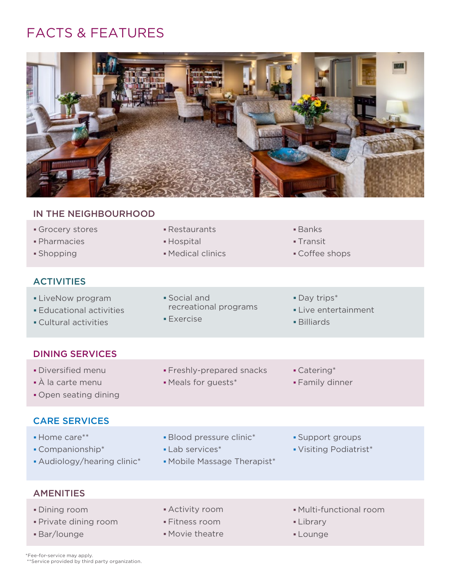## FACTS & FEATURES



## IN THE NEIGHBOURHOOD Grocery stores **Exercise Exercise Exercise Contracts Banks**  Pharmacies Hospital Transit **Shopping Contract Contract Contract Contract Contract Contract Contract Contract Contract Contract Contract Contract Contract Contract Contract Contract Contract Contract Contract Contract Contract Contract Contract Contr ACTIVITIES** • LiveNow program Social and Social and Day trips\* • Educational activities *Live entertainment* **Live entertainment** • Cultural activities **Exercise Billiards** • Exercise DINING SERVICES • Diversified menu **Freshly-prepared snacks** • Catering\* • À la carte menu **• Meals for guests\*** • Family dinner Open seating dining CARE SERVICES • Home care\*\* **Blood pressure clinic\*** • Support groups Companionship\* Lab services\* Visiting Podiatrist\* • Audiology/hearing clinic\* • Mobile Massage Therapist\* **AMENITIES** Dining room Activity room Multi-functional room

- Private dining room Fitness room Library
	-
- 
- 
- **Bar/lounge** Movie theatre **Example 2018**
- 
- -

\*Fee-for-service may apply. \*\*Service provided by third party organization.